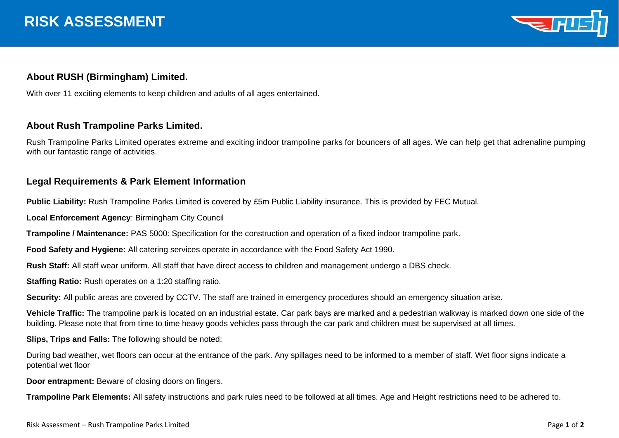

## **About RUSH (Birmingham) Limited.**

With over 11 exciting elements to keep children and adults of all ages entertained.

## **About Rush Trampoline Parks Limited.**

Rush Trampoline Parks Limited operates extreme and exciting indoor trampoline parks for bouncers of all ages. We can help get that adrenaline pumping with our fantastic range of activities.

## **Legal Requirements & Park Element Information**

**Public Liability:** Rush Trampoline Parks Limited is covered by £5m Public Liability insurance. This is provided by FEC Mutual.

**Local Enforcement Agency**: Birmingham City Council

**Trampoline / Maintenance:** PAS 5000: Specification for the construction and operation of a fixed indoor trampoline park.

**Food Safety and Hygiene:** All catering services operate in accordance with the Food Safety Act 1990.

**Rush Staff:** All staff wear uniform. All staff that have direct access to children and management undergo a DBS check.

**Staffing Ratio:** Rush operates on a 1:20 staffing ratio.

**Security:** All public areas are covered by CCTV. The staff are trained in emergency procedures should an emergency situation arise.

**Vehicle Traffic:** The trampoline park is located on an industrial estate. Car park bays are marked and a pedestrian walkway is marked down one side of the building. Please note that from time to time heavy goods vehicles pass through the car park and children must be supervised at all times.

**Slips, Trips and Falls:** The following should be noted;

During bad weather, wet floors can occur at the entrance of the park. Any spillages need to be informed to a member of staff. Wet floor signs indicate a potential wet floor

**Door entrapment:** Beware of closing doors on fingers.

**Trampoline Park Elements:** All safety instructions and park rules need to be followed at all times. Age and Height restrictions need to be adhered to.